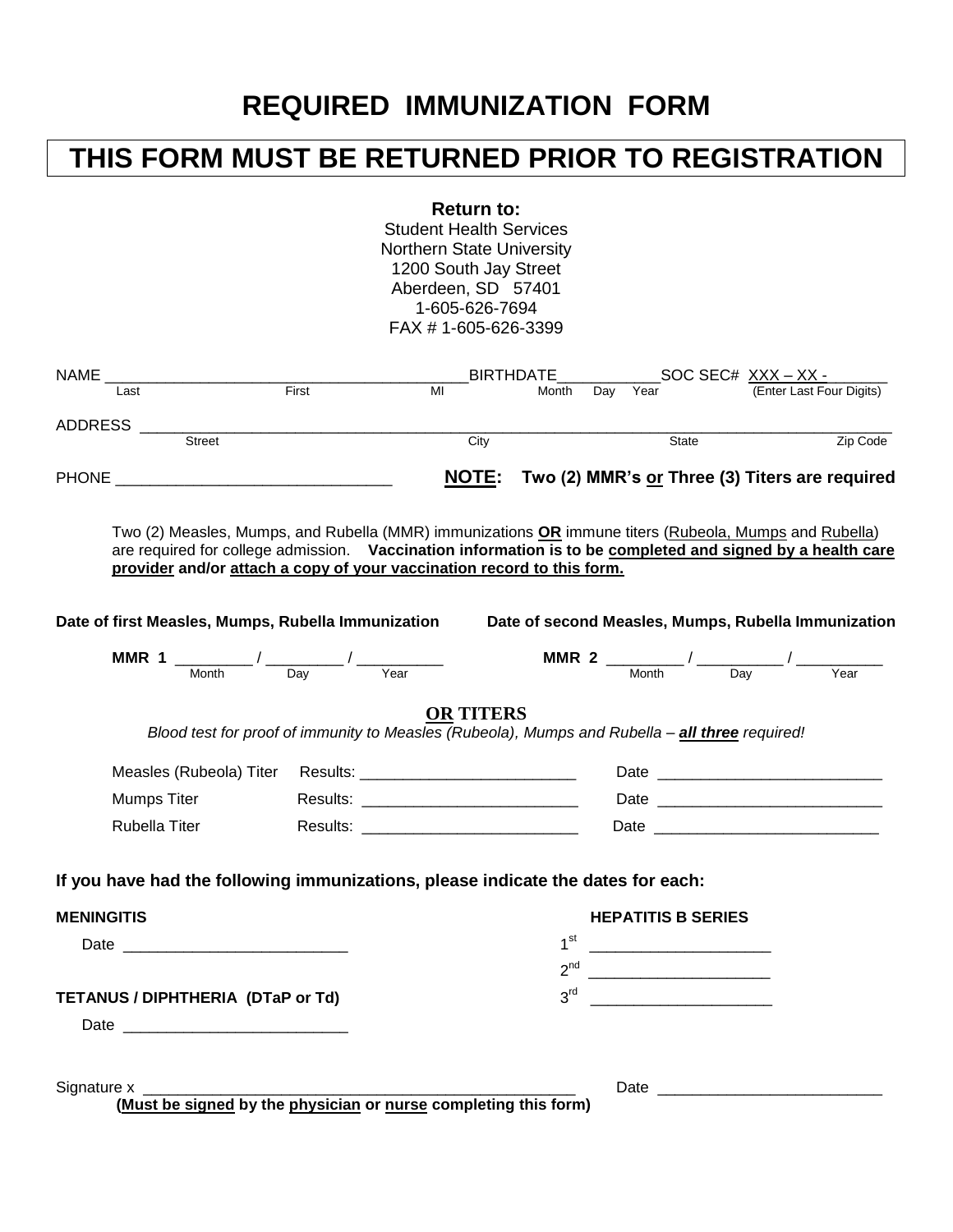## **REQUIRED IMMUNIZATION FORM**

## **THIS FORM MUST BE RETURNED PRIOR TO REGISTRATION**

**Return to:**

Student Health Services Northern State University 1200 South Jay Street Aberdeen, SD 57401 1-605-626-7694 FAX # 1-605-626-3399

|                                   |                                                                                                                                                                                                                                                                                               |             | FAX # 1-005-020-3399 |  |                 |                                                          |  |                                             |  |  |                                                                                                                                                                                                                                                                                                                                                                                                                                 |
|-----------------------------------|-----------------------------------------------------------------------------------------------------------------------------------------------------------------------------------------------------------------------------------------------------------------------------------------------|-------------|----------------------|--|-----------------|----------------------------------------------------------|--|---------------------------------------------|--|--|---------------------------------------------------------------------------------------------------------------------------------------------------------------------------------------------------------------------------------------------------------------------------------------------------------------------------------------------------------------------------------------------------------------------------------|
|                                   | NAME <b>NAME</b>                                                                                                                                                                                                                                                                              | BIRTHDATE__ |                      |  |                 | $SOC SEC#$ $\frac{XXX - XX -}{(Enter Last Four Digits)}$ |  |                                             |  |  |                                                                                                                                                                                                                                                                                                                                                                                                                                 |
|                                   | Last                                                                                                                                                                                                                                                                                          | First       | MI                   |  | Month           | Day                                                      |  |                                             |  |  |                                                                                                                                                                                                                                                                                                                                                                                                                                 |
|                                   |                                                                                                                                                                                                                                                                                               |             |                      |  |                 |                                                          |  |                                             |  |  |                                                                                                                                                                                                                                                                                                                                                                                                                                 |
|                                   |                                                                                                                                                                                                                                                                                               |             | $\overline{City}$    |  |                 |                                                          |  | State                                       |  |  | Zip Code                                                                                                                                                                                                                                                                                                                                                                                                                        |
|                                   | <b>PHONE <i>PHONE</i></b>                                                                                                                                                                                                                                                                     |             |                      |  |                 |                                                          |  |                                             |  |  | NOTE: Two (2) MMR's or Three (3) Titers are required                                                                                                                                                                                                                                                                                                                                                                            |
|                                   | Two (2) Measles, Mumps, and Rubella (MMR) immunizations OR immune titers (Rubeola, Mumps and Rubella)<br>are required for college admission. Vaccination information is to be completed and signed by a health care<br>provider and/or attach a copy of your vaccination record to this form. |             |                      |  |                 |                                                          |  |                                             |  |  |                                                                                                                                                                                                                                                                                                                                                                                                                                 |
|                                   | Date of first Measles, Mumps, Rubella Immunization                                                                                                                                                                                                                                            |             |                      |  |                 |                                                          |  |                                             |  |  | Date of second Measles, Mumps, Rubella Immunization                                                                                                                                                                                                                                                                                                                                                                             |
|                                   | <b>MMR 1</b> $\frac{1}{\sqrt{1-\frac{1}{n}}}\left(\frac{1}{\sqrt{1-\frac{1}{n}}}\right)^{n}$                                                                                                                                                                                                  |             |                      |  |                 |                                                          |  |                                             |  |  | <b>MMR 2</b> $\frac{1}{\sqrt{1-\frac{1}{\sqrt{1-\frac{1}{\sqrt{1-\frac{1}{\sqrt{1-\frac{1}{\sqrt{1-\frac{1}{\sqrt{1-\frac{1}{\sqrt{1-\frac{1}{\sqrt{1-\frac{1}{\sqrt{1-\frac{1}{\sqrt{1-\frac{1}{\sqrt{1-\frac{1}{\sqrt{1-\frac{1}{\sqrt{1-\frac{1}{\sqrt{1-\frac{1}{\sqrt{1-\frac{1}{\sqrt{1-\frac{1}{\sqrt{1-\frac{1}{\sqrt{1-\frac{1}{\sqrt{1-\frac{1}{\sqrt{1-\frac{1}{\sqrt{1-\frac{1}{\sqrt{1-\frac{1}{\sqrt{1-\frac{1}{$ |
|                                   | Blood test for proof of immunity to Measles (Rubeola), Mumps and Rubella - all three required!<br>Mumps Titer<br>Rubella Titer                                                                                                                                                                |             | <b>OR TITERS</b>     |  |                 |                                                          |  |                                             |  |  |                                                                                                                                                                                                                                                                                                                                                                                                                                 |
|                                   | If you have had the following immunizations, please indicate the dates for each:                                                                                                                                                                                                              |             |                      |  |                 |                                                          |  |                                             |  |  |                                                                                                                                                                                                                                                                                                                                                                                                                                 |
| <b>MENINGITIS</b>                 |                                                                                                                                                                                                                                                                                               |             |                      |  |                 |                                                          |  | <b>HEPATITIS B SERIES</b>                   |  |  |                                                                                                                                                                                                                                                                                                                                                                                                                                 |
|                                   |                                                                                                                                                                                                                                                                                               |             |                      |  | 1 <sup>st</sup> |                                                          |  |                                             |  |  |                                                                                                                                                                                                                                                                                                                                                                                                                                 |
|                                   |                                                                                                                                                                                                                                                                                               |             |                      |  | $2^{nd}$        |                                                          |  | <u> 1980 - Andrea Barbara, poeta espa</u>   |  |  |                                                                                                                                                                                                                                                                                                                                                                                                                                 |
| TETANUS / DIPHTHERIA (DTaP or Td) |                                                                                                                                                                                                                                                                                               |             |                      |  | 3 <sup>rd</sup> |                                                          |  | <u> 1980 - Jan Barnett, fransk kongresu</u> |  |  |                                                                                                                                                                                                                                                                                                                                                                                                                                 |
|                                   |                                                                                                                                                                                                                                                                                               |             |                      |  |                 |                                                          |  |                                             |  |  |                                                                                                                                                                                                                                                                                                                                                                                                                                 |
|                                   |                                                                                                                                                                                                                                                                                               |             |                      |  |                 |                                                          |  |                                             |  |  |                                                                                                                                                                                                                                                                                                                                                                                                                                 |

Signature x \_\_\_\_\_\_\_\_\_\_\_\_\_\_\_\_\_\_\_\_\_\_\_\_\_\_\_\_\_\_\_\_\_\_\_\_\_\_\_\_\_\_\_\_\_\_\_\_\_\_ Date \_\_\_\_\_\_\_\_\_\_\_\_\_\_\_\_\_\_\_\_\_\_\_\_\_\_

**(Must be signed by the physician or nurse completing this form)**